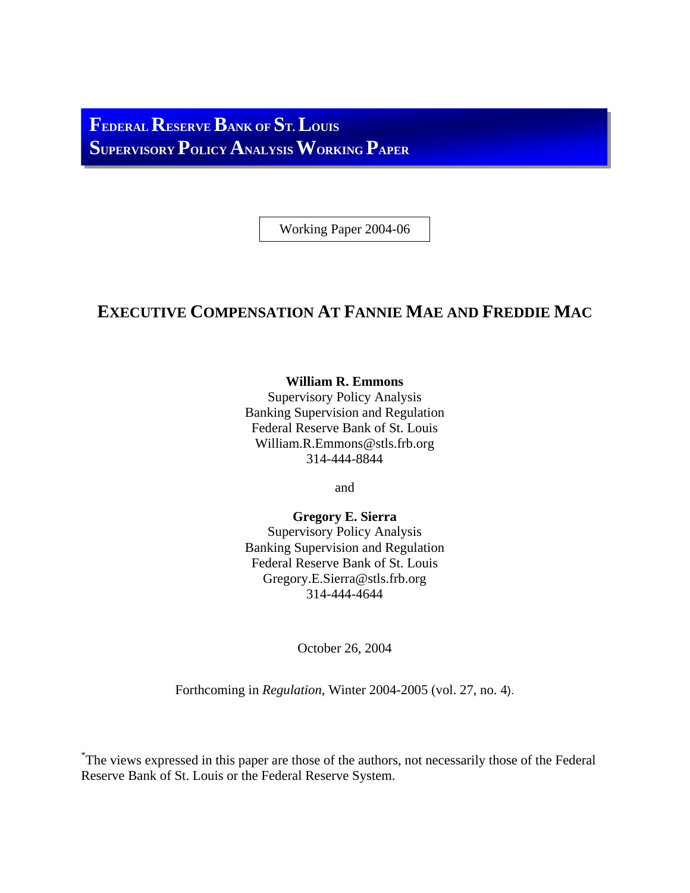**FEDERALRESERVE BANK OF ST. LOUIS SUPERVISORY POLICY ANALYSIS WORKING PAPER**

Working Paper 2004-06

# **EXECUTIVE COMPENSATION AT FANNIE MAE AND FREDDIE MAC**

**William R. Emmons** 

Supervisory Policy Analysis Banking Supervision and Regulation Federal Reserve Bank of St. Louis William.R.Emmons@stls.frb.org 314-444-8844

and

**Gregory E. Sierra**  Supervisory Policy Analysis Banking Supervision and Regulation Federal Reserve Bank of St. Louis Gregory.E.Sierra@stls.frb.org 314-444-4644

October 26, 2004

Forthcoming in *Regulation*, Winter 2004-2005 (vol. 27, no. 4).

\* The views expressed in this paper are those of the authors, not necessarily those of the Federal Reserve Bank of St. Louis or the Federal Reserve System.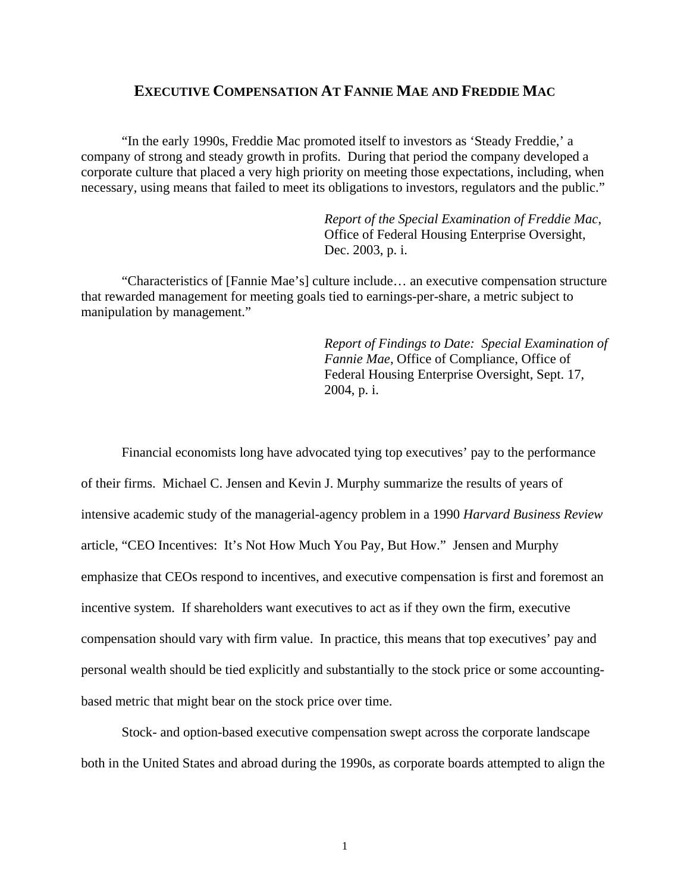# **EXECUTIVE COMPENSATION AT FANNIE MAE AND FREDDIE MAC**

"In the early 1990s, Freddie Mac promoted itself to investors as 'Steady Freddie,' a company of strong and steady growth in profits. During that period the company developed a corporate culture that placed a very high priority on meeting those expectations, including, when necessary, using means that failed to meet its obligations to investors, regulators and the public."

> *Report of the Special Examination of Freddie Mac*, Office of Federal Housing Enterprise Oversight, Dec. 2003, p. i.

"Characteristics of [Fannie Mae's] culture include… an executive compensation structure that rewarded management for meeting goals tied to earnings-per-share, a metric subject to manipulation by management."

> *Report of Findings to Date: Special Examination of Fannie Mae*, Office of Compliance, Office of Federal Housing Enterprise Oversight, Sept. 17, 2004, p. i.

Financial economists long have advocated tying top executives' pay to the performance of their firms. Michael C. Jensen and Kevin J. Murphy summarize the results of years of intensive academic study of the managerial-agency problem in a 1990 *Harvard Business Review*  article, "CEO Incentives: It's Not How Much You Pay, But How." Jensen and Murphy emphasize that CEOs respond to incentives, and executive compensation is first and foremost an incentive system. If shareholders want executives to act as if they own the firm, executive compensation should vary with firm value. In practice, this means that top executives' pay and personal wealth should be tied explicitly and substantially to the stock price or some accountingbased metric that might bear on the stock price over time.

Stock- and option-based executive compensation swept across the corporate landscape both in the United States and abroad during the 1990s, as corporate boards attempted to align the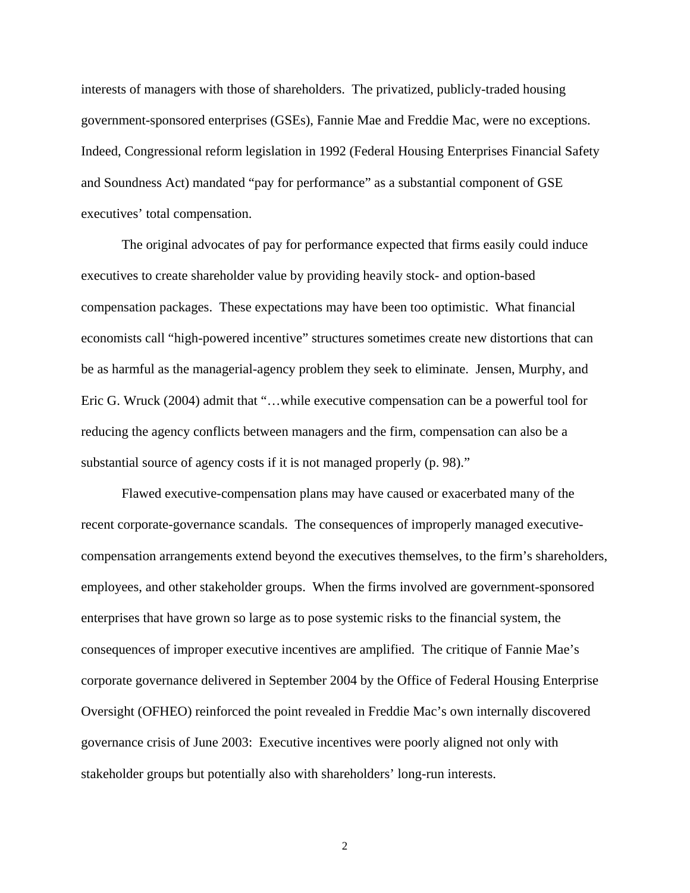interests of managers with those of shareholders. The privatized, publicly-traded housing government-sponsored enterprises (GSEs), Fannie Mae and Freddie Mac, were no exceptions. Indeed, Congressional reform legislation in 1992 (Federal Housing Enterprises Financial Safety and Soundness Act) mandated "pay for performance" as a substantial component of GSE executives' total compensation.

The original advocates of pay for performance expected that firms easily could induce executives to create shareholder value by providing heavily stock- and option-based compensation packages. These expectations may have been too optimistic. What financial economists call "high-powered incentive" structures sometimes create new distortions that can be as harmful as the managerial-agency problem they seek to eliminate. Jensen, Murphy, and Eric G. Wruck (2004) admit that "…while executive compensation can be a powerful tool for reducing the agency conflicts between managers and the firm, compensation can also be a substantial source of agency costs if it is not managed properly (p. 98)."

Flawed executive-compensation plans may have caused or exacerbated many of the recent corporate-governance scandals. The consequences of improperly managed executivecompensation arrangements extend beyond the executives themselves, to the firm's shareholders, employees, and other stakeholder groups. When the firms involved are government-sponsored enterprises that have grown so large as to pose systemic risks to the financial system, the consequences of improper executive incentives are amplified. The critique of Fannie Mae's corporate governance delivered in September 2004 by the Office of Federal Housing Enterprise Oversight (OFHEO) reinforced the point revealed in Freddie Mac's own internally discovered governance crisis of June 2003: Executive incentives were poorly aligned not only with stakeholder groups but potentially also with shareholders' long-run interests.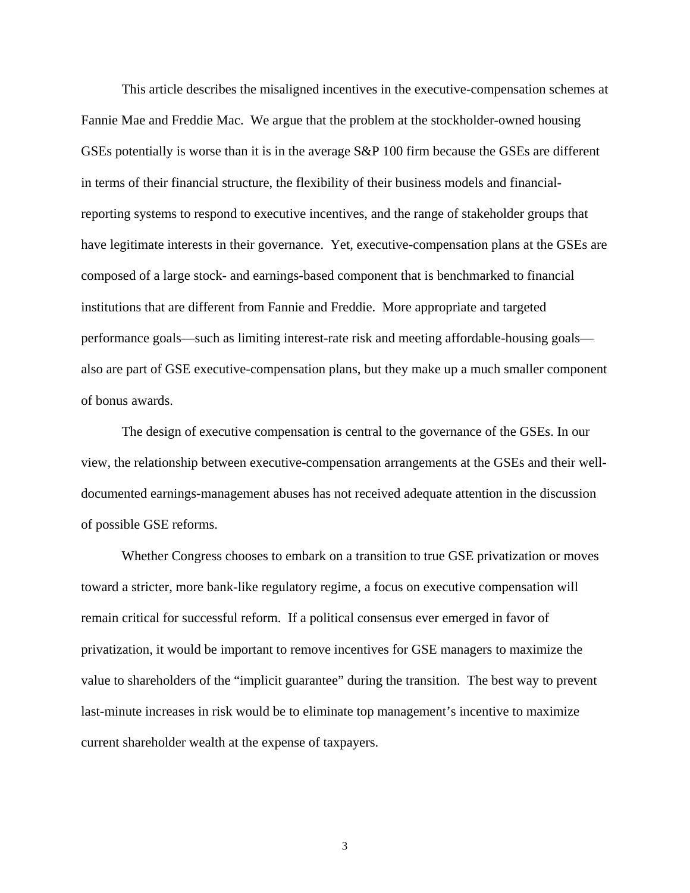This article describes the misaligned incentives in the executive-compensation schemes at Fannie Mae and Freddie Mac. We argue that the problem at the stockholder-owned housing GSEs potentially is worse than it is in the average S&P 100 firm because the GSEs are different in terms of their financial structure, the flexibility of their business models and financialreporting systems to respond to executive incentives, and the range of stakeholder groups that have legitimate interests in their governance. Yet, executive-compensation plans at the GSEs are composed of a large stock- and earnings-based component that is benchmarked to financial institutions that are different from Fannie and Freddie. More appropriate and targeted performance goals—such as limiting interest-rate risk and meeting affordable-housing goals also are part of GSE executive-compensation plans, but they make up a much smaller component of bonus awards.

The design of executive compensation is central to the governance of the GSEs. In our view, the relationship between executive-compensation arrangements at the GSEs and their welldocumented earnings-management abuses has not received adequate attention in the discussion of possible GSE reforms.

Whether Congress chooses to embark on a transition to true GSE privatization or moves toward a stricter, more bank-like regulatory regime, a focus on executive compensation will remain critical for successful reform. If a political consensus ever emerged in favor of privatization, it would be important to remove incentives for GSE managers to maximize the value to shareholders of the "implicit guarantee" during the transition. The best way to prevent last-minute increases in risk would be to eliminate top management's incentive to maximize current shareholder wealth at the expense of taxpayers.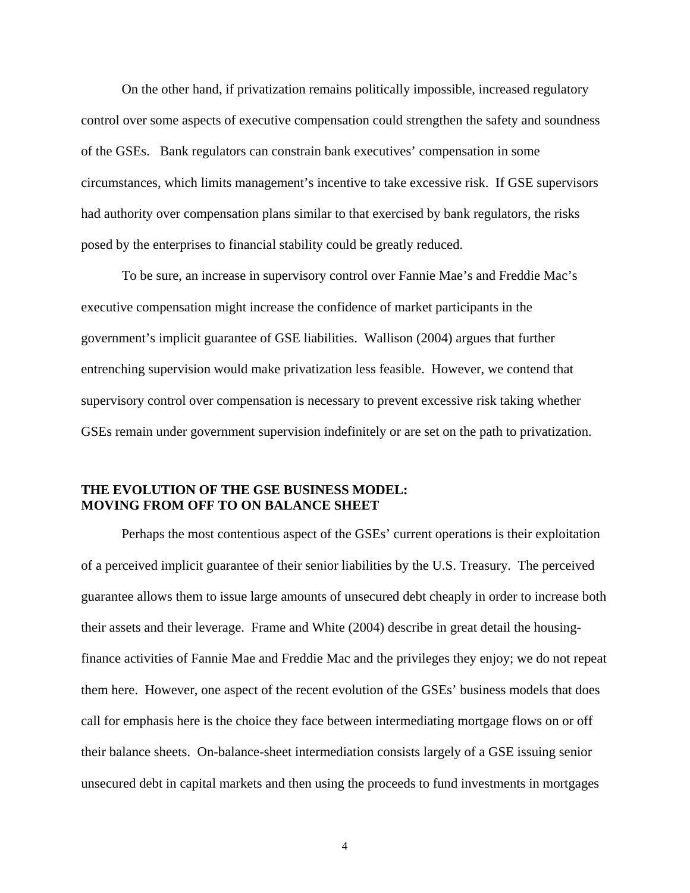On the other hand, if privatization remains politically impossible, increased regulatory control over some aspects of executive compensation could strengthen the safety and soundness of the GSEs. Bank regulators can constrain bank executives' compensation in some circumstances, which limits management's incentive to take excessive risk. If GSE supervisors had authority over compensation plans similar to that exercised by bank regulators, the risks posed by the enterprises to financial stability could be greatly reduced.

To be sure, an increase in supervisory control over Fannie Mae's and Freddie Mac's executive compensation might increase the confidence of market participants in the government's implicit guarantee of GSE liabilities. Wallison (2004) argues that further entrenching supervision would make privatization less feasible. However, we contend that supervisory control over compensation is necessary to prevent excessive risk taking whether GSEs remain under government supervision indefinitely or are set on the path to privatization.

## **THE EVOLUTION OF THE GSE BUSINESS MODEL: MOVING FROM OFF TO ON BALANCE SHEET**

Perhaps the most contentious aspect of the GSEs' current operations is their exploitation of a perceived implicit guarantee of their senior liabilities by the U.S. Treasury. The perceived guarantee allows them to issue large amounts of unsecured debt cheaply in order to increase both their assets and their leverage. Frame and White (2004) describe in great detail the housingfinance activities of Fannie Mae and Freddie Mac and the privileges they enjoy; we do not repeat them here. However, one aspect of the recent evolution of the GSEs' business models that does call for emphasis here is the choice they face between intermediating mortgage flows on or off their balance sheets. On-balance-sheet intermediation consists largely of a GSE issuing senior unsecured debt in capital markets and then using the proceeds to fund investments in mortgages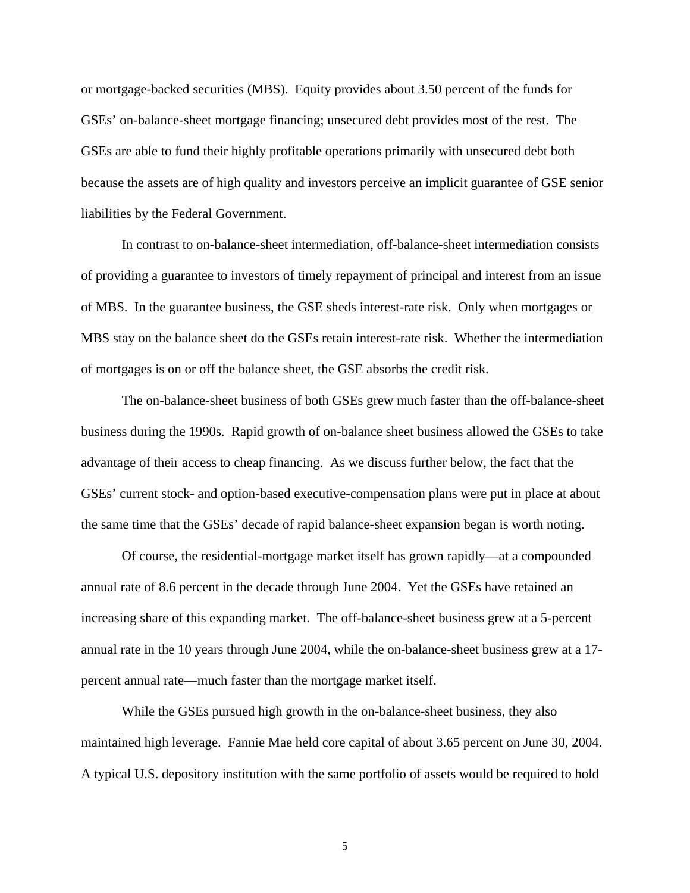or mortgage-backed securities (MBS). Equity provides about 3.50 percent of the funds for GSEs' on-balance-sheet mortgage financing; unsecured debt provides most of the rest. The GSEs are able to fund their highly profitable operations primarily with unsecured debt both because the assets are of high quality and investors perceive an implicit guarantee of GSE senior liabilities by the Federal Government.

In contrast to on-balance-sheet intermediation, off-balance-sheet intermediation consists of providing a guarantee to investors of timely repayment of principal and interest from an issue of MBS. In the guarantee business, the GSE sheds interest-rate risk. Only when mortgages or MBS stay on the balance sheet do the GSEs retain interest-rate risk. Whether the intermediation of mortgages is on or off the balance sheet, the GSE absorbs the credit risk.

The on-balance-sheet business of both GSEs grew much faster than the off-balance-sheet business during the 1990s. Rapid growth of on-balance sheet business allowed the GSEs to take advantage of their access to cheap financing. As we discuss further below, the fact that the GSEs' current stock- and option-based executive-compensation plans were put in place at about the same time that the GSEs' decade of rapid balance-sheet expansion began is worth noting.

Of course, the residential-mortgage market itself has grown rapidly—at a compounded annual rate of 8.6 percent in the decade through June 2004. Yet the GSEs have retained an increasing share of this expanding market. The off-balance-sheet business grew at a 5-percent annual rate in the 10 years through June 2004, while the on-balance-sheet business grew at a 17 percent annual rate—much faster than the mortgage market itself.

While the GSEs pursued high growth in the on-balance-sheet business, they also maintained high leverage. Fannie Mae held core capital of about 3.65 percent on June 30, 2004. A typical U.S. depository institution with the same portfolio of assets would be required to hold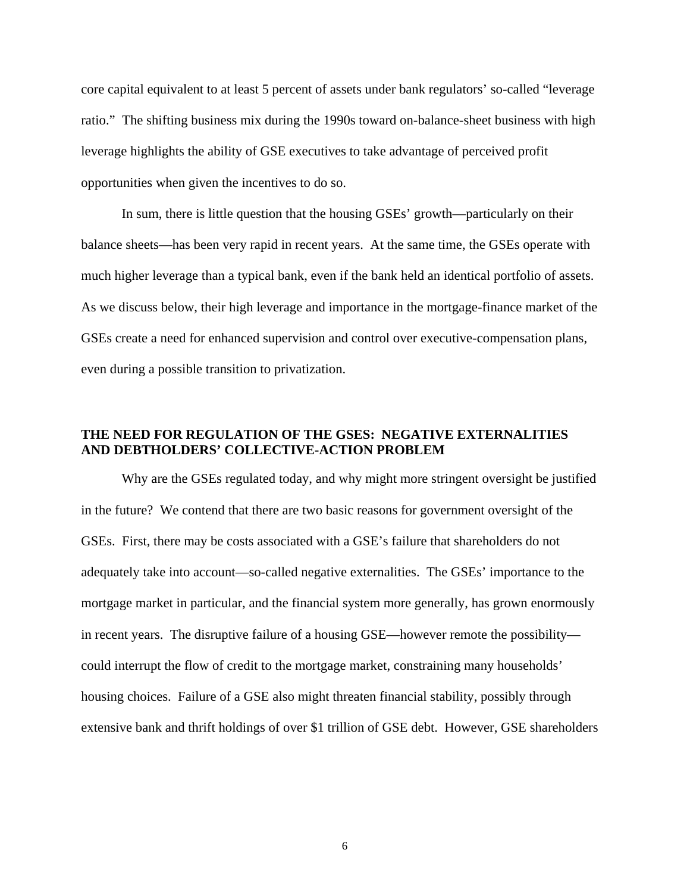core capital equivalent to at least 5 percent of assets under bank regulators' so-called "leverage ratio." The shifting business mix during the 1990s toward on-balance-sheet business with high leverage highlights the ability of GSE executives to take advantage of perceived profit opportunities when given the incentives to do so.

In sum, there is little question that the housing GSEs' growth—particularly on their balance sheets—has been very rapid in recent years. At the same time, the GSEs operate with much higher leverage than a typical bank, even if the bank held an identical portfolio of assets. As we discuss below, their high leverage and importance in the mortgage-finance market of the GSEs create a need for enhanced supervision and control over executive-compensation plans, even during a possible transition to privatization.

## **THE NEED FOR REGULATION OF THE GSES: NEGATIVE EXTERNALITIES AND DEBTHOLDERS' COLLECTIVE-ACTION PROBLEM**

Why are the GSEs regulated today, and why might more stringent oversight be justified in the future? We contend that there are two basic reasons for government oversight of the GSEs. First, there may be costs associated with a GSE's failure that shareholders do not adequately take into account—so-called negative externalities. The GSEs' importance to the mortgage market in particular, and the financial system more generally, has grown enormously in recent years. The disruptive failure of a housing GSE—however remote the possibility could interrupt the flow of credit to the mortgage market, constraining many households' housing choices. Failure of a GSE also might threaten financial stability, possibly through extensive bank and thrift holdings of over \$1 trillion of GSE debt. However, GSE shareholders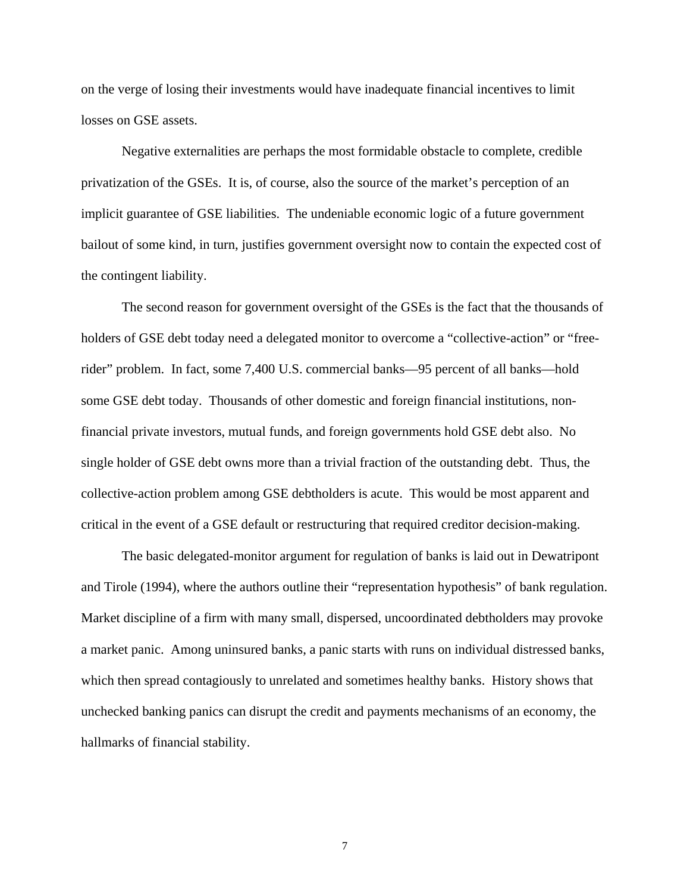on the verge of losing their investments would have inadequate financial incentives to limit losses on GSE assets.

Negative externalities are perhaps the most formidable obstacle to complete, credible privatization of the GSEs. It is, of course, also the source of the market's perception of an implicit guarantee of GSE liabilities. The undeniable economic logic of a future government bailout of some kind, in turn, justifies government oversight now to contain the expected cost of the contingent liability.

The second reason for government oversight of the GSEs is the fact that the thousands of holders of GSE debt today need a delegated monitor to overcome a "collective-action" or "freerider" problem. In fact, some 7,400 U.S. commercial banks—95 percent of all banks—hold some GSE debt today. Thousands of other domestic and foreign financial institutions, nonfinancial private investors, mutual funds, and foreign governments hold GSE debt also. No single holder of GSE debt owns more than a trivial fraction of the outstanding debt. Thus, the collective-action problem among GSE debtholders is acute. This would be most apparent and critical in the event of a GSE default or restructuring that required creditor decision-making.

The basic delegated-monitor argument for regulation of banks is laid out in Dewatripont and Tirole (1994), where the authors outline their "representation hypothesis" of bank regulation. Market discipline of a firm with many small, dispersed, uncoordinated debtholders may provoke a market panic. Among uninsured banks, a panic starts with runs on individual distressed banks, which then spread contagiously to unrelated and sometimes healthy banks. History shows that unchecked banking panics can disrupt the credit and payments mechanisms of an economy, the hallmarks of financial stability.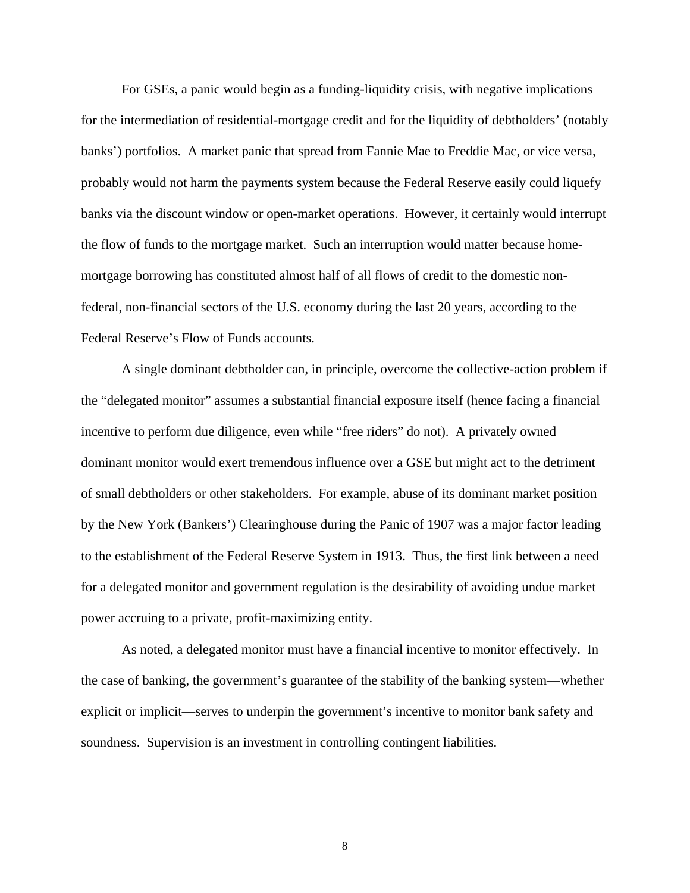For GSEs, a panic would begin as a funding-liquidity crisis, with negative implications for the intermediation of residential-mortgage credit and for the liquidity of debtholders' (notably banks') portfolios. A market panic that spread from Fannie Mae to Freddie Mac, or vice versa, probably would not harm the payments system because the Federal Reserve easily could liquefy banks via the discount window or open-market operations. However, it certainly would interrupt the flow of funds to the mortgage market. Such an interruption would matter because homemortgage borrowing has constituted almost half of all flows of credit to the domestic nonfederal, non-financial sectors of the U.S. economy during the last 20 years, according to the Federal Reserve's Flow of Funds accounts.

A single dominant debtholder can, in principle, overcome the collective-action problem if the "delegated monitor" assumes a substantial financial exposure itself (hence facing a financial incentive to perform due diligence, even while "free riders" do not). A privately owned dominant monitor would exert tremendous influence over a GSE but might act to the detriment of small debtholders or other stakeholders. For example, abuse of its dominant market position by the New York (Bankers') Clearinghouse during the Panic of 1907 was a major factor leading to the establishment of the Federal Reserve System in 1913. Thus, the first link between a need for a delegated monitor and government regulation is the desirability of avoiding undue market power accruing to a private, profit-maximizing entity.

As noted, a delegated monitor must have a financial incentive to monitor effectively. In the case of banking, the government's guarantee of the stability of the banking system—whether explicit or implicit—serves to underpin the government's incentive to monitor bank safety and soundness. Supervision is an investment in controlling contingent liabilities.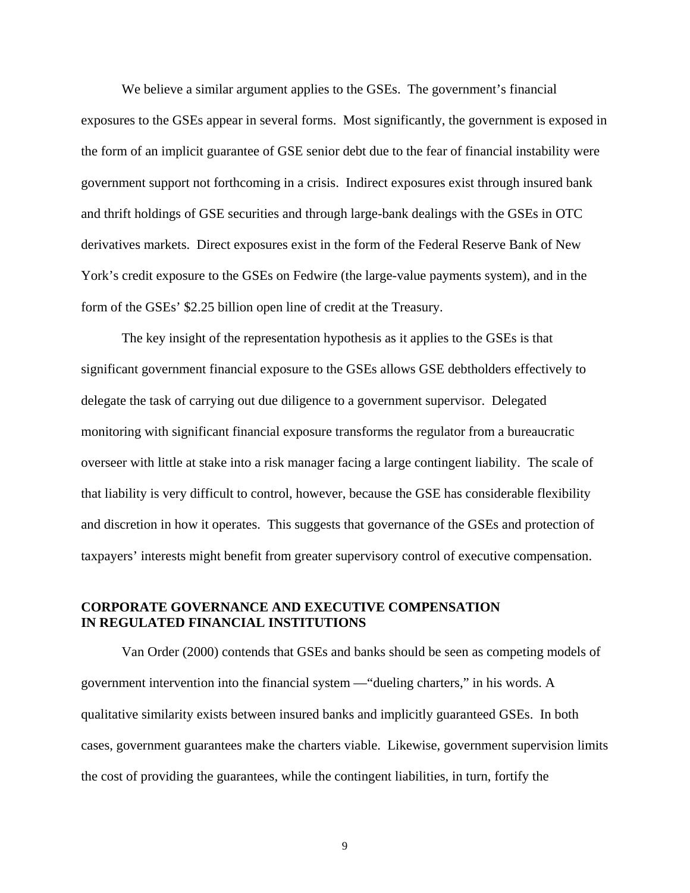We believe a similar argument applies to the GSEs. The government's financial exposures to the GSEs appear in several forms. Most significantly, the government is exposed in the form of an implicit guarantee of GSE senior debt due to the fear of financial instability were government support not forthcoming in a crisis. Indirect exposures exist through insured bank and thrift holdings of GSE securities and through large-bank dealings with the GSEs in OTC derivatives markets. Direct exposures exist in the form of the Federal Reserve Bank of New York's credit exposure to the GSEs on Fedwire (the large-value payments system), and in the form of the GSEs' \$2.25 billion open line of credit at the Treasury.

The key insight of the representation hypothesis as it applies to the GSEs is that significant government financial exposure to the GSEs allows GSE debtholders effectively to delegate the task of carrying out due diligence to a government supervisor. Delegated monitoring with significant financial exposure transforms the regulator from a bureaucratic overseer with little at stake into a risk manager facing a large contingent liability. The scale of that liability is very difficult to control, however, because the GSE has considerable flexibility and discretion in how it operates. This suggests that governance of the GSEs and protection of taxpayers' interests might benefit from greater supervisory control of executive compensation.

## **CORPORATE GOVERNANCE AND EXECUTIVE COMPENSATION IN REGULATED FINANCIAL INSTITUTIONS**

Van Order (2000) contends that GSEs and banks should be seen as competing models of government intervention into the financial system —"dueling charters," in his words. A qualitative similarity exists between insured banks and implicitly guaranteed GSEs. In both cases, government guarantees make the charters viable. Likewise, government supervision limits the cost of providing the guarantees, while the contingent liabilities, in turn, fortify the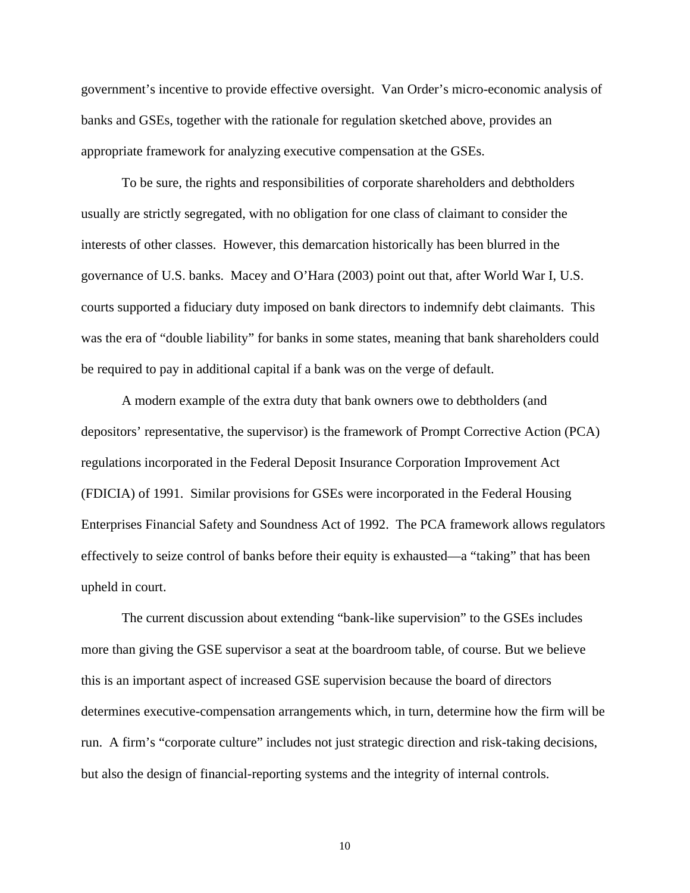government's incentive to provide effective oversight. Van Order's micro-economic analysis of banks and GSEs, together with the rationale for regulation sketched above, provides an appropriate framework for analyzing executive compensation at the GSEs.

To be sure, the rights and responsibilities of corporate shareholders and debtholders usually are strictly segregated, with no obligation for one class of claimant to consider the interests of other classes. However, this demarcation historically has been blurred in the governance of U.S. banks. Macey and O'Hara (2003) point out that, after World War I, U.S. courts supported a fiduciary duty imposed on bank directors to indemnify debt claimants. This was the era of "double liability" for banks in some states, meaning that bank shareholders could be required to pay in additional capital if a bank was on the verge of default.

A modern example of the extra duty that bank owners owe to debtholders (and depositors' representative, the supervisor) is the framework of Prompt Corrective Action (PCA) regulations incorporated in the Federal Deposit Insurance Corporation Improvement Act (FDICIA) of 1991. Similar provisions for GSEs were incorporated in the Federal Housing Enterprises Financial Safety and Soundness Act of 1992. The PCA framework allows regulators effectively to seize control of banks before their equity is exhausted—a "taking" that has been upheld in court.

The current discussion about extending "bank-like supervision" to the GSEs includes more than giving the GSE supervisor a seat at the boardroom table, of course. But we believe this is an important aspect of increased GSE supervision because the board of directors determines executive-compensation arrangements which, in turn, determine how the firm will be run. A firm's "corporate culture" includes not just strategic direction and risk-taking decisions, but also the design of financial-reporting systems and the integrity of internal controls.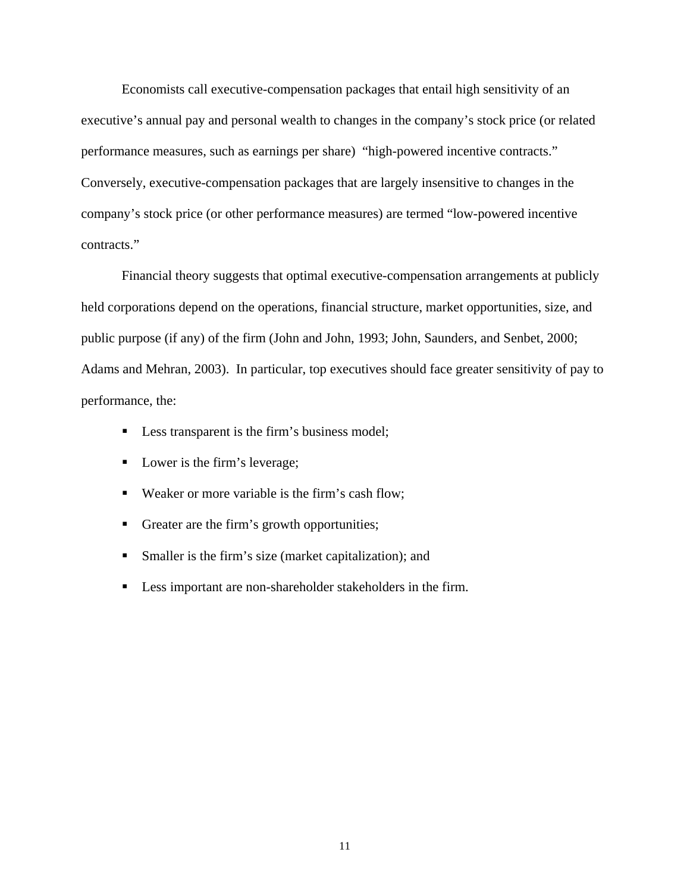Economists call executive-compensation packages that entail high sensitivity of an executive's annual pay and personal wealth to changes in the company's stock price (or related performance measures, such as earnings per share) "high-powered incentive contracts." Conversely, executive-compensation packages that are largely insensitive to changes in the company's stock price (or other performance measures) are termed "low-powered incentive contracts."

Financial theory suggests that optimal executive-compensation arrangements at publicly held corporations depend on the operations, financial structure, market opportunities, size, and public purpose (if any) of the firm (John and John, 1993; John, Saunders, and Senbet, 2000; Adams and Mehran, 2003). In particular, top executives should face greater sensitivity of pay to performance, the:

- **Less transparent is the firm's business model;**
- Lower is the firm's leverage;
- Weaker or more variable is the firm's cash flow;
- Greater are the firm's growth opportunities;
- Smaller is the firm's size (market capitalization); and
- **Less important are non-shareholder stakeholders in the firm.**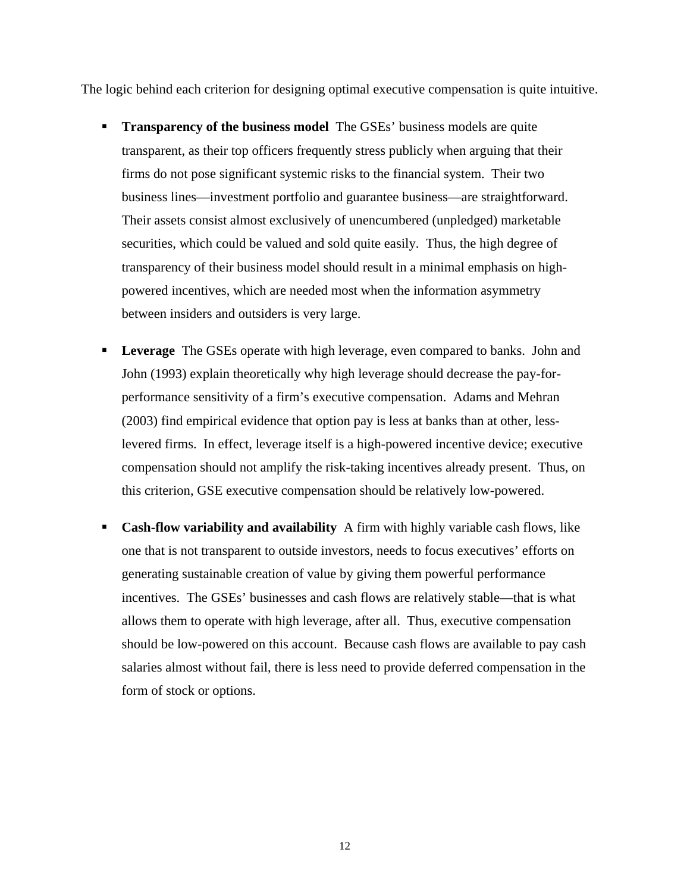The logic behind each criterion for designing optimal executive compensation is quite intuitive.

- **Transparency of the business model** The GSEs' business models are quite transparent, as their top officers frequently stress publicly when arguing that their firms do not pose significant systemic risks to the financial system. Their two business lines—investment portfolio and guarantee business—are straightforward. Their assets consist almost exclusively of unencumbered (unpledged) marketable securities, which could be valued and sold quite easily. Thus, the high degree of transparency of their business model should result in a minimal emphasis on highpowered incentives, which are needed most when the information asymmetry between insiders and outsiders is very large.
- **Leverage** The GSEs operate with high leverage, even compared to banks. John and John (1993) explain theoretically why high leverage should decrease the pay-forperformance sensitivity of a firm's executive compensation. Adams and Mehran (2003) find empirical evidence that option pay is less at banks than at other, lesslevered firms. In effect, leverage itself is a high-powered incentive device; executive compensation should not amplify the risk-taking incentives already present. Thus, on this criterion, GSE executive compensation should be relatively low-powered.
- **Cash-flow variability and availability** A firm with highly variable cash flows, like one that is not transparent to outside investors, needs to focus executives' efforts on generating sustainable creation of value by giving them powerful performance incentives. The GSEs' businesses and cash flows are relatively stable—that is what allows them to operate with high leverage, after all. Thus, executive compensation should be low-powered on this account. Because cash flows are available to pay cash salaries almost without fail, there is less need to provide deferred compensation in the form of stock or options.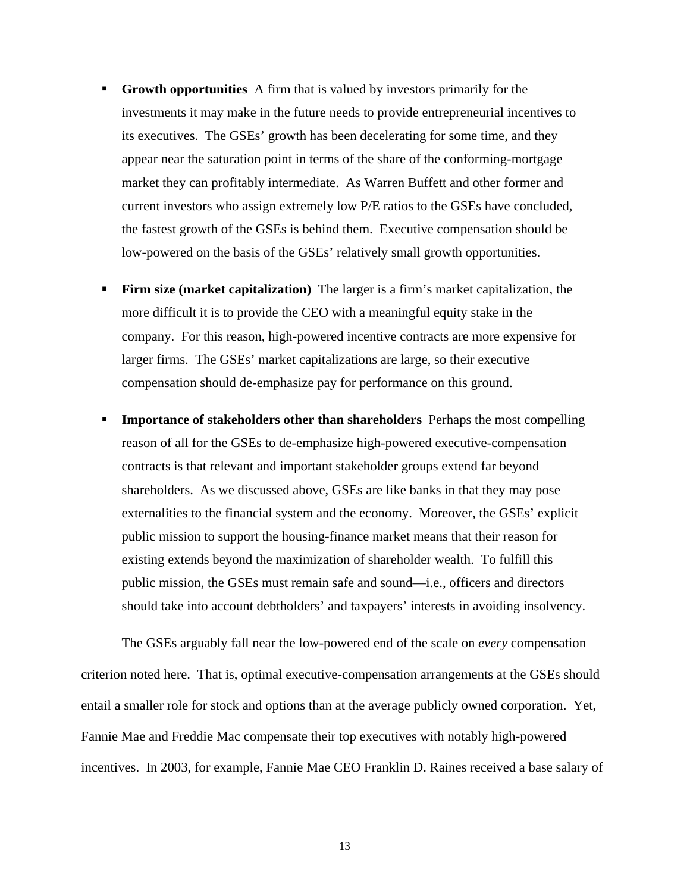- **Growth opportunities** A firm that is valued by investors primarily for the investments it may make in the future needs to provide entrepreneurial incentives to its executives. The GSEs' growth has been decelerating for some time, and they appear near the saturation point in terms of the share of the conforming-mortgage market they can profitably intermediate. As Warren Buffett and other former and current investors who assign extremely low P/E ratios to the GSEs have concluded, the fastest growth of the GSEs is behind them. Executive compensation should be low-powered on the basis of the GSEs' relatively small growth opportunities.
- **Firm size (market capitalization)** The larger is a firm's market capitalization, the more difficult it is to provide the CEO with a meaningful equity stake in the company. For this reason, high-powered incentive contracts are more expensive for larger firms. The GSEs' market capitalizations are large, so their executive compensation should de-emphasize pay for performance on this ground.
- **IMPORTANCE IMMORET IMMORET SHARE IMMORET IMMORET IMMORET IMMORET IMMORET IMMORET IMMORET IMMORET IMMORET IMMORET IMMORET IMMORET IMMORET IMMORET IMMORET IMMORET IMMORET IMMORET IMMORET IMMORET IMMORET IMMORET IMMORET IMMO** reason of all for the GSEs to de-emphasize high-powered executive-compensation contracts is that relevant and important stakeholder groups extend far beyond shareholders. As we discussed above, GSEs are like banks in that they may pose externalities to the financial system and the economy. Moreover, the GSEs' explicit public mission to support the housing-finance market means that their reason for existing extends beyond the maximization of shareholder wealth. To fulfill this public mission, the GSEs must remain safe and sound—i.e., officers and directors should take into account debtholders' and taxpayers' interests in avoiding insolvency.

The GSEs arguably fall near the low-powered end of the scale on *every* compensation criterion noted here. That is, optimal executive-compensation arrangements at the GSEs should entail a smaller role for stock and options than at the average publicly owned corporation. Yet, Fannie Mae and Freddie Mac compensate their top executives with notably high-powered incentives. In 2003, for example, Fannie Mae CEO Franklin D. Raines received a base salary of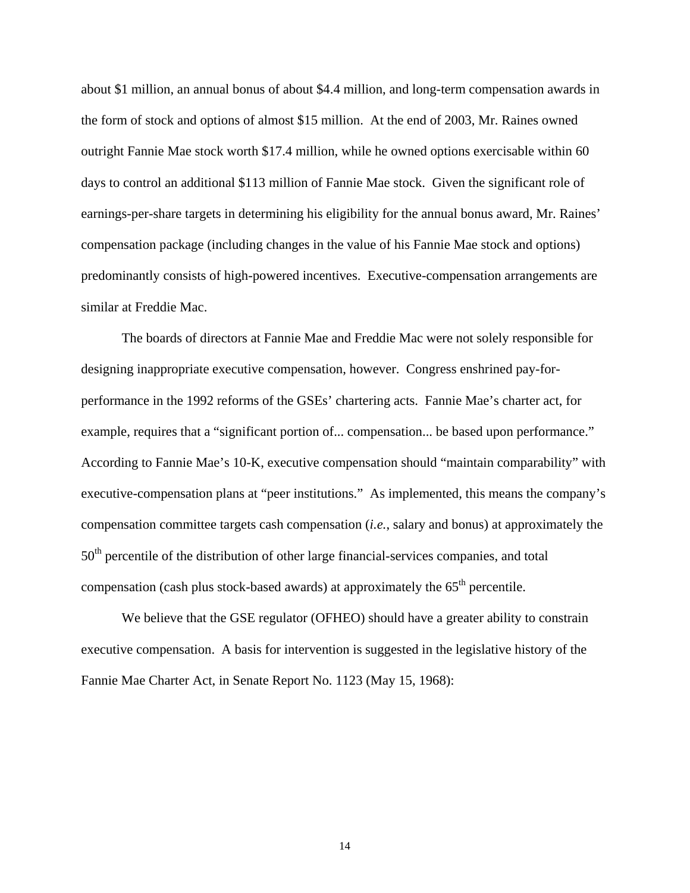about \$1 million, an annual bonus of about \$4.4 million, and long-term compensation awards in the form of stock and options of almost \$15 million. At the end of 2003, Mr. Raines owned outright Fannie Mae stock worth \$17.4 million, while he owned options exercisable within 60 days to control an additional \$113 million of Fannie Mae stock. Given the significant role of earnings-per-share targets in determining his eligibility for the annual bonus award, Mr. Raines' compensation package (including changes in the value of his Fannie Mae stock and options) predominantly consists of high-powered incentives. Executive-compensation arrangements are similar at Freddie Mac.

The boards of directors at Fannie Mae and Freddie Mac were not solely responsible for designing inappropriate executive compensation, however. Congress enshrined pay-forperformance in the 1992 reforms of the GSEs' chartering acts. Fannie Mae's charter act, for example, requires that a "significant portion of... compensation... be based upon performance." According to Fannie Mae's 10-K, executive compensation should "maintain comparability" with executive-compensation plans at "peer institutions." As implemented, this means the company's compensation committee targets cash compensation (*i.e.*, salary and bonus) at approximately the 50<sup>th</sup> percentile of the distribution of other large financial-services companies, and total compensation (cash plus stock-based awards) at approximately the  $65<sup>th</sup>$  percentile.

We believe that the GSE regulator (OFHEO) should have a greater ability to constrain executive compensation. A basis for intervention is suggested in the legislative history of the Fannie Mae Charter Act, in Senate Report No. 1123 (May 15, 1968):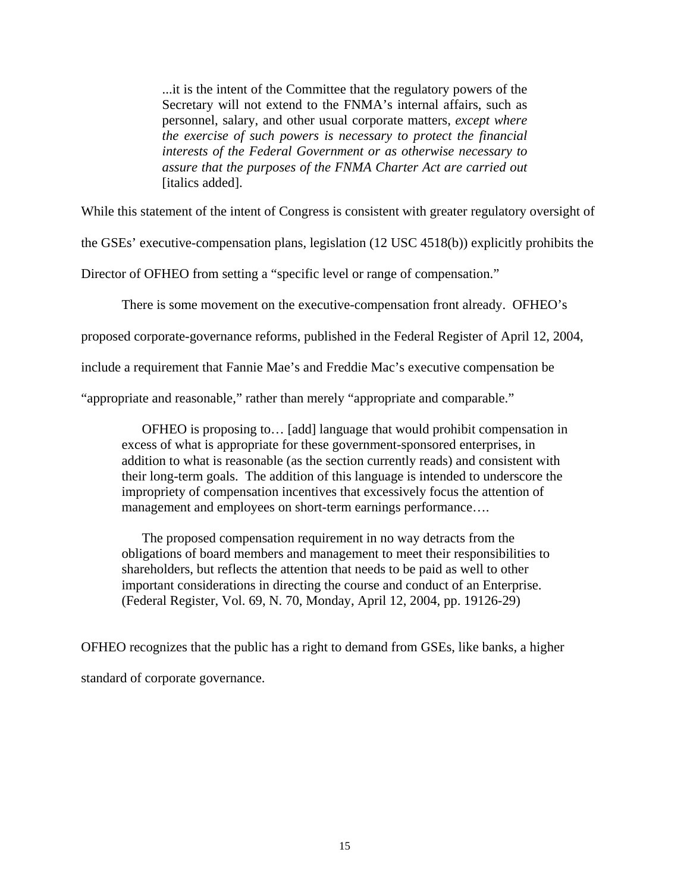...it is the intent of the Committee that the regulatory powers of the Secretary will not extend to the FNMA's internal affairs, such as personnel, salary, and other usual corporate matters, *except where the exercise of such powers is necessary to protect the financial interests of the Federal Government or as otherwise necessary to assure that the purposes of the FNMA Charter Act are carried out* [italics added].

While this statement of the intent of Congress is consistent with greater regulatory oversight of

the GSEs' executive-compensation plans, legislation (12 USC 4518(b)) explicitly prohibits the

Director of OFHEO from setting a "specific level or range of compensation."

There is some movement on the executive-compensation front already. OFHEO's

proposed corporate-governance reforms, published in the Federal Register of April 12, 2004,

include a requirement that Fannie Mae's and Freddie Mac's executive compensation be

"appropriate and reasonable," rather than merely "appropriate and comparable."

OFHEO is proposing to… [add] language that would prohibit compensation in excess of what is appropriate for these government-sponsored enterprises, in addition to what is reasonable (as the section currently reads) and consistent with their long-term goals. The addition of this language is intended to underscore the impropriety of compensation incentives that excessively focus the attention of management and employees on short-term earnings performance….

The proposed compensation requirement in no way detracts from the obligations of board members and management to meet their responsibilities to shareholders, but reflects the attention that needs to be paid as well to other important considerations in directing the course and conduct of an Enterprise. (Federal Register, Vol. 69, N. 70, Monday, April 12, 2004, pp. 19126-29)

OFHEO recognizes that the public has a right to demand from GSEs, like banks, a higher standard of corporate governance.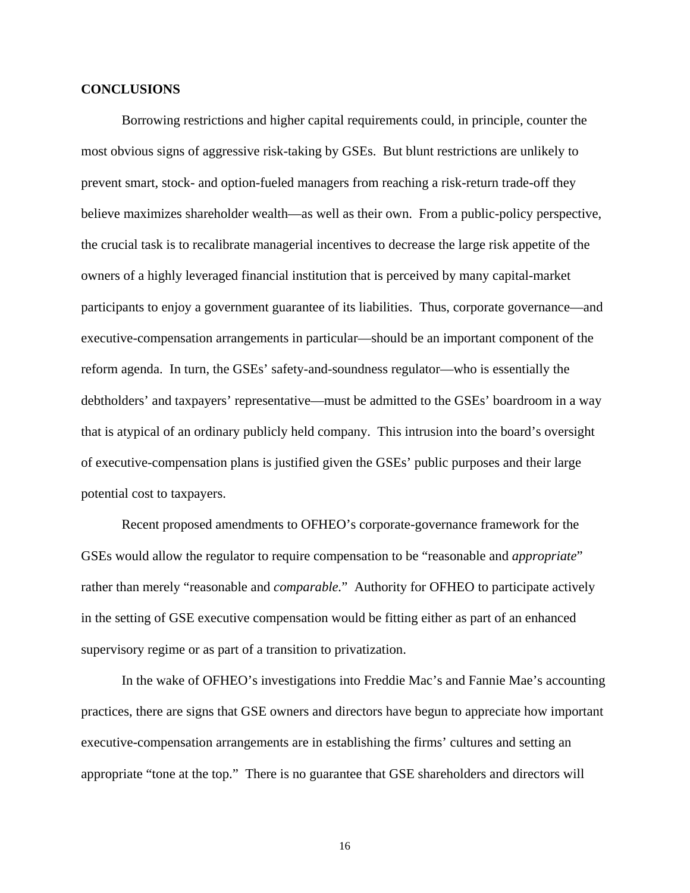#### **CONCLUSIONS**

Borrowing restrictions and higher capital requirements could, in principle, counter the most obvious signs of aggressive risk-taking by GSEs. But blunt restrictions are unlikely to prevent smart, stock- and option-fueled managers from reaching a risk-return trade-off they believe maximizes shareholder wealth—as well as their own. From a public-policy perspective, the crucial task is to recalibrate managerial incentives to decrease the large risk appetite of the owners of a highly leveraged financial institution that is perceived by many capital-market participants to enjoy a government guarantee of its liabilities. Thus, corporate governance—and executive-compensation arrangements in particular—should be an important component of the reform agenda. In turn, the GSEs' safety-and-soundness regulator—who is essentially the debtholders' and taxpayers' representative—must be admitted to the GSEs' boardroom in a way that is atypical of an ordinary publicly held company. This intrusion into the board's oversight of executive-compensation plans is justified given the GSEs' public purposes and their large potential cost to taxpayers.

Recent proposed amendments to OFHEO's corporate-governance framework for the GSEs would allow the regulator to require compensation to be "reasonable and *appropriate*" rather than merely "reasonable and *comparable.*" Authority for OFHEO to participate actively in the setting of GSE executive compensation would be fitting either as part of an enhanced supervisory regime or as part of a transition to privatization.

In the wake of OFHEO's investigations into Freddie Mac's and Fannie Mae's accounting practices, there are signs that GSE owners and directors have begun to appreciate how important executive-compensation arrangements are in establishing the firms' cultures and setting an appropriate "tone at the top." There is no guarantee that GSE shareholders and directors will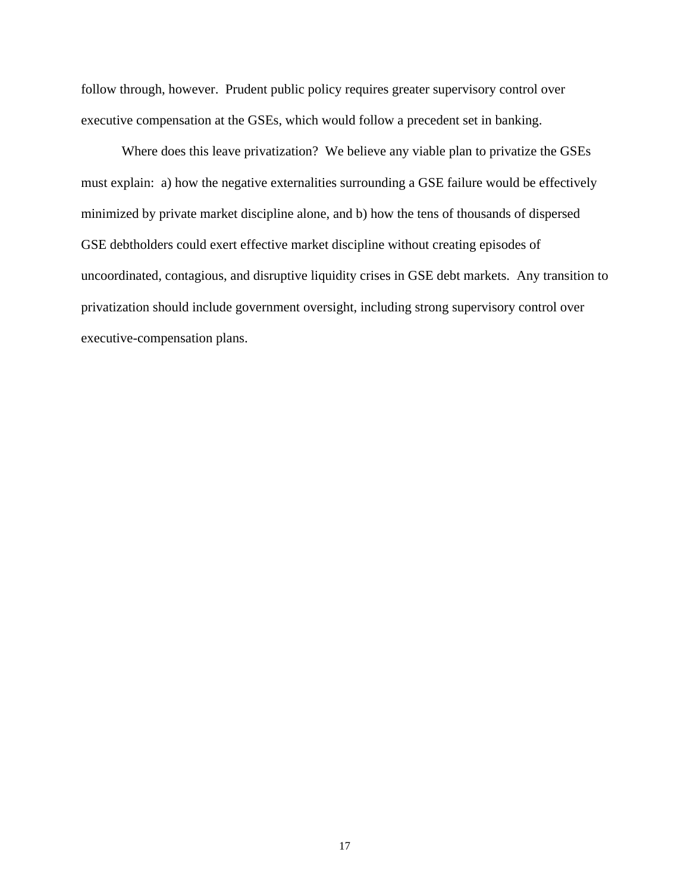follow through, however. Prudent public policy requires greater supervisory control over executive compensation at the GSEs, which would follow a precedent set in banking.

Where does this leave privatization? We believe any viable plan to privatize the GSEs must explain: a) how the negative externalities surrounding a GSE failure would be effectively minimized by private market discipline alone, and b) how the tens of thousands of dispersed GSE debtholders could exert effective market discipline without creating episodes of uncoordinated, contagious, and disruptive liquidity crises in GSE debt markets. Any transition to privatization should include government oversight, including strong supervisory control over executive-compensation plans.